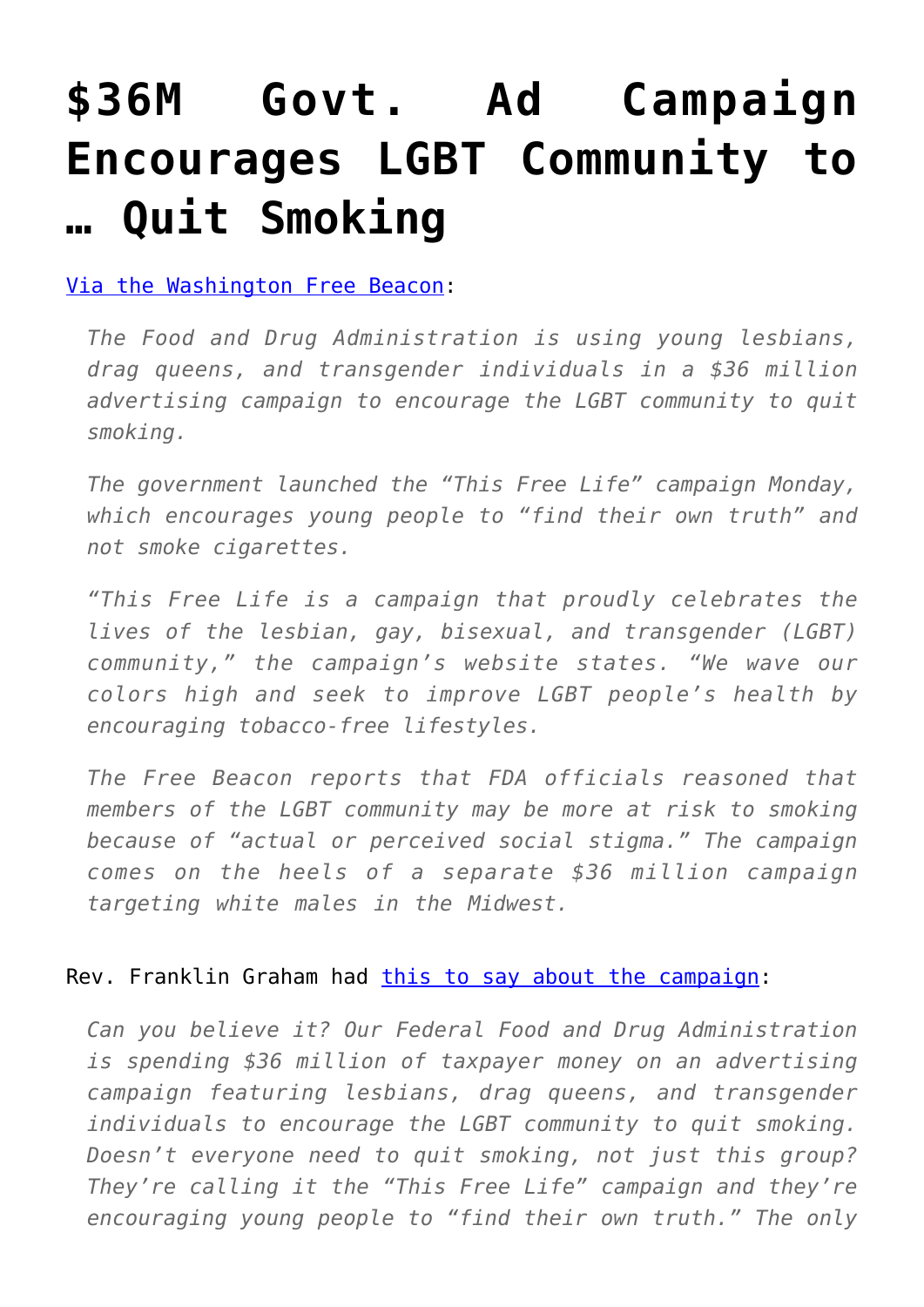## **[\\$36M Govt. Ad Campaign](https://intellectualtakeout.org/2016/05/36m-govt-ad-campaign-encourages-lgbt-community-to-quit-smoking/) [Encourages LGBT Community to](https://intellectualtakeout.org/2016/05/36m-govt-ad-campaign-encourages-lgbt-community-to-quit-smoking/) [… Quit Smoking](https://intellectualtakeout.org/2016/05/36m-govt-ad-campaign-encourages-lgbt-community-to-quit-smoking/)**

[Via the Washington Free Beacon](http://freebeacon.com/issues/feds-spend-35-million-lgbt-anti-smoking/):

*The Food and Drug Administration is using young lesbians, drag queens, and transgender individuals in a \$36 million advertising campaign to encourage the LGBT community to quit smoking.*

*The government launched the "This Free Life" campaign Monday, which encourages young people to "find their own truth" and not smoke cigarettes.*

*"This Free Life is a campaign that proudly celebrates the lives of the lesbian, gay, bisexual, and transgender (LGBT) community," the campaign's website states. "We wave our colors high and seek to improve LGBT people's health by encouraging tobacco-free lifestyles.*

*The Free Beacon reports that FDA officials reasoned that members of the LGBT community may be more at risk to smoking because of "actual or perceived social stigma." The campaign comes on the heels of a separate \$36 million campaign targeting white males in the Midwest.*

Rev. Franklin Graham had [this to say about the campaign:](https://www.facebook.com/FranklinGraham/posts/1151055531617293)

*Can you believe it? Our Federal Food and Drug Administration is spending \$36 million of taxpayer money on an advertising campaign featuring lesbians, drag queens, and transgender individuals to encourage the LGBT community to quit smoking. Doesn't everyone need to quit smoking, not just this group? They're calling it the "This Free Life" campaign and they're encouraging young people to "find their own truth." The only*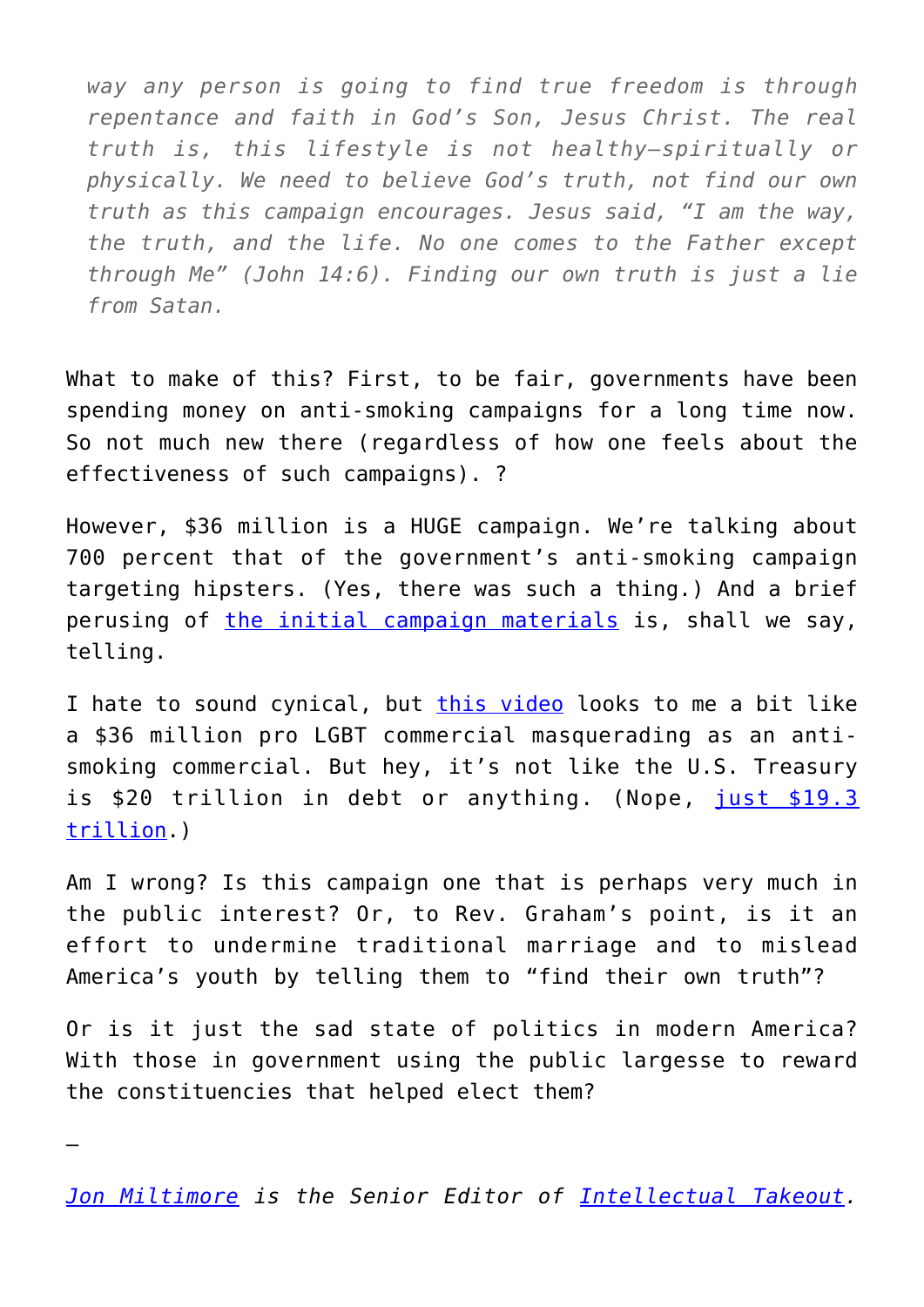*way any person is going to find true freedom is through repentance and faith in God's Son, Jesus Christ. The real truth is, this lifestyle is not healthy—spiritually or physically. We need to believe God's truth, not find our own truth as this campaign encourages. Jesus said, "I am the way, the truth, and the life. No one comes to the Father except through Me" (John 14:6). Finding our own truth is just a lie from Satan.*

What to make of this? First, to be fair, governments have been spending money on anti-smoking campaigns for a long time now. So not much new there (regardless of how one feels about the effectiveness of such campaigns). ?

However, \$36 million is a HUGE campaign. We're talking about 700 percent that of the government's anti-smoking campaign targeting hipsters. (Yes, there was such a thing.) And a brief perusing of [the initial campaign materials](https://thisfreelife.betobaccofree.hhs.gov/) is, shall we say, telling.

I hate to sound cynical, but [this video](https://thisfreelife.betobaccofree.hhs.gov/our-story) looks to me a bit like a \$36 million pro LGBT commercial masquerading as an antismoking commercial. But hey, it's not like the U.S. Treasury is \$20 trillion in debt or anything. (Nope, [just \\$19.3](http://www.usdebtclock.org/) [trillion.](http://www.usdebtclock.org/))

Am I wrong? Is this campaign one that is perhaps very much in the public interest? Or, to Rev. Graham's point, is it an effort to undermine traditional marriage and to mislead America's youth by telling them to "find their own truth"?

Or is it just the sad state of politics in modern America? With those in government using the public largesse to reward the constituencies that helped elect them?

*[Jon Miltimore](https://www.facebook.com/jmiltimore/?fref=ts) is the Senior Editor of [Intellectual Takeout.](https://www.intellectualtakeout.org/)*

—